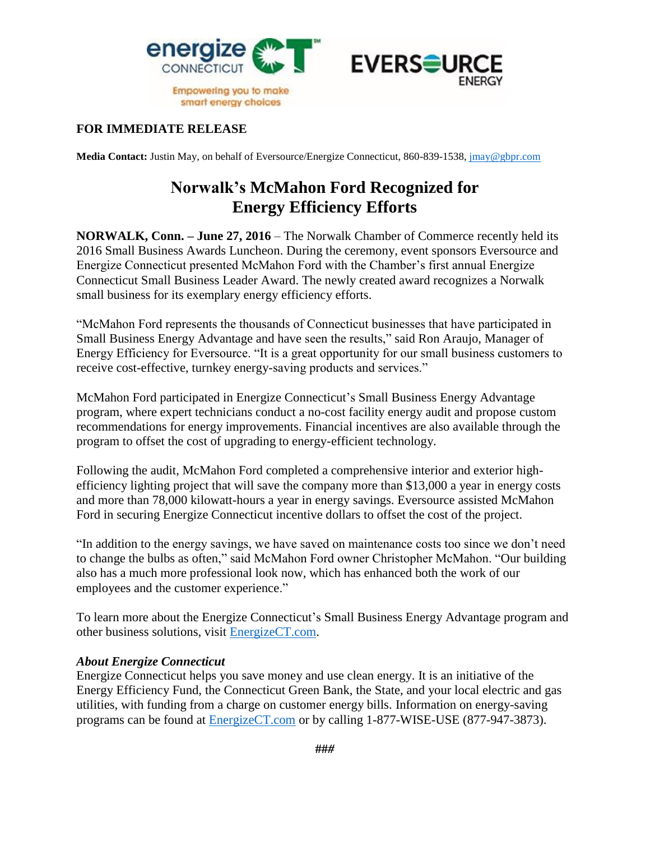



## **FOR IMMEDIATE RELEASE**

**Media Contact:** Justin May, on behalf of Eversource/Energize Connecticut, 860-839-1538, [jmay@gbpr.com](mailto:jmay@gbpr.com)

## **Norwalk's McMahon Ford Recognized for Energy Efficiency Efforts**

**NORWALK, Conn. – June 27, 2016** – The Norwalk Chamber of Commerce recently held its 2016 Small Business Awards Luncheon. During the ceremony, event sponsors Eversource and Energize Connecticut presented McMahon Ford with the Chamber's first annual Energize Connecticut Small Business Leader Award. The newly created award recognizes a Norwalk small business for its exemplary energy efficiency efforts.

"McMahon Ford represents the thousands of Connecticut businesses that have participated in Small Business Energy Advantage and have seen the results," said Ron Araujo, Manager of Energy Efficiency for Eversource. "It is a great opportunity for our small business customers to receive cost-effective, turnkey energy-saving products and services."

McMahon Ford participated in Energize Connecticut's Small Business Energy Advantage program, where expert technicians conduct a no-cost facility energy audit and propose custom recommendations for energy improvements. Financial incentives are also available through the program to offset the cost of upgrading to energy-efficient technology.

Following the audit, McMahon Ford completed a comprehensive interior and exterior highefficiency lighting project that will save the company more than \$13,000 a year in energy costs and more than 78,000 kilowatt-hours a year in energy savings. Eversource assisted McMahon Ford in securing Energize Connecticut incentive dollars to offset the cost of the project.

"In addition to the energy savings, we have saved on maintenance costs too since we don't need to change the bulbs as often," said McMahon Ford owner Christopher McMahon. "Our building also has a much more professional look now, which has enhanced both the work of our employees and the customer experience."

To learn more about the Energize Connecticut's Small Business Energy Advantage program and other business solutions, visit [EnergizeCT.com.](http://www.energizect.com/)

## *About Energize Connecticut*

Energize Connecticut helps you save money and use clean energy. It is an initiative of the Energy Efficiency Fund, the Connecticut Green Bank, the State, and your local electric and gas utilities, with funding from a charge on customer energy bills. Information on energy-saving programs can be found at [EnergizeCT.com](http://www.energizect.com/) or by calling 1-877-WISE-USE (877-947-3873).